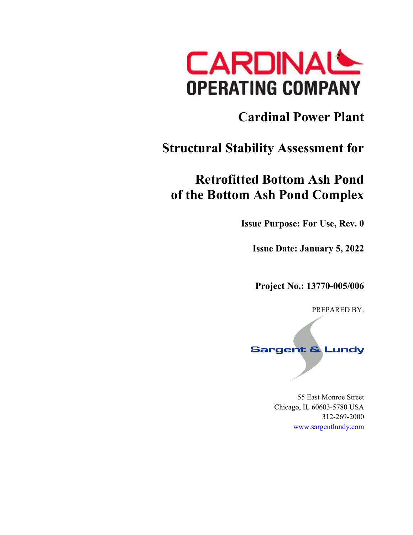

# **Cardinal Power Plant**

# **Structural Stability Assessment for**

# **Retrofitted Bottom Ash Pond of the Bottom Ash Pond Complex**

**Issue Purpose: For Use, Rev. 0** 

**Issue Date: January 5, 2022** 

**Project No.: 13770-005/006** 

PREPARED BY:

# **Sargent & Lundy**

55 East Monroe Street Chicago, IL 60603-5780 USA 312-269-2000 www.sargentlundy.com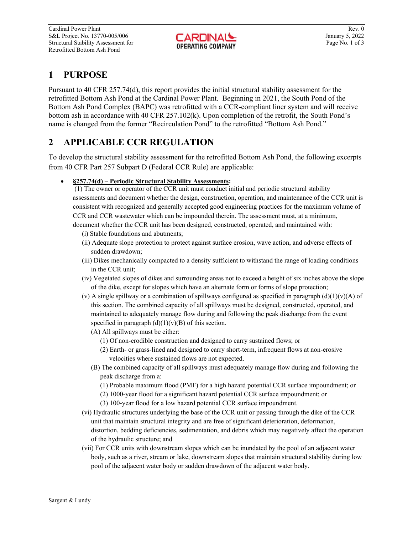## **1 PURPOSE**

Pursuant to 40 CFR 257.74(d), this report provides the initial structural stability assessment for the retrofitted Bottom Ash Pond at the Cardinal Power Plant. Beginning in 2021, the South Pond of the Bottom Ash Pond Complex (BAPC) was retrofitted with a CCR-compliant liner system and will receive bottom ash in accordance with 40 CFR 257.102(k). Upon completion of the retrofit, the South Pond's name is changed from the former "Recirculation Pond" to the retrofitted "Bottom Ash Pond."

# **2 APPLICABLE CCR REGULATION**

To develop the structural stability assessment for the retrofitted Bottom Ash Pond, the following excerpts from 40 CFR Part 257 Subpart D (Federal CCR Rule) are applicable:

## **§257.74(d) – Periodic Structural Stability Assessments:**

 (1) The owner or operator of the CCR unit must conduct initial and periodic structural stability assessments and document whether the design, construction, operation, and maintenance of the CCR unit is consistent with recognized and generally accepted good engineering practices for the maximum volume of CCR and CCR wastewater which can be impounded therein. The assessment must, at a minimum, document whether the CCR unit has been designed, constructed, operated, and maintained with:

- (i) Stable foundations and abutments;
- (ii) Adequate slope protection to protect against surface erosion, wave action, and adverse effects of sudden drawdown;
- (iii) Dikes mechanically compacted to a density sufficient to withstand the range of loading conditions in the CCR unit;
- (iv) Vegetated slopes of dikes and surrounding areas not to exceed a height of six inches above the slope of the dike, except for slopes which have an alternate form or forms of slope protection;
- (v) A single spillway or a combination of spillways configured as specified in paragraph  $(d)(1)(v)(A)$  of this section. The combined capacity of all spillways must be designed, constructed, operated, and maintained to adequately manage flow during and following the peak discharge from the event specified in paragraph  $(d)(1)(v)(B)$  of this section.
	- (A) All spillways must be either:
		- (1) Of non-erodible construction and designed to carry sustained flows; or
		- (2) Earth- or grass-lined and designed to carry short-term, infrequent flows at non-erosive velocities where sustained flows are not expected.
	- (B) The combined capacity of all spillways must adequately manage flow during and following the peak discharge from a:
		- (1) Probable maximum flood (PMF) for a high hazard potential CCR surface impoundment; or
		- (2) 1000-year flood for a significant hazard potential CCR surface impoundment; or
		- (3) 100-year flood for a low hazard potential CCR surface impoundment.
- (vi) Hydraulic structures underlying the base of the CCR unit or passing through the dike of the CCR unit that maintain structural integrity and are free of significant deterioration, deformation, distortion, bedding deficiencies, sedimentation, and debris which may negatively affect the operation of the hydraulic structure; and
- (vii) For CCR units with downstream slopes which can be inundated by the pool of an adjacent water body, such as a river, stream or lake, downstream slopes that maintain structural stability during low pool of the adjacent water body or sudden drawdown of the adjacent water body.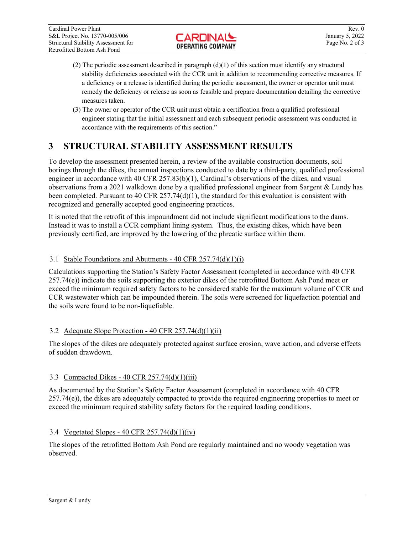- (2) The periodic assessment described in paragraph  $(d)(1)$  of this section must identify any structural stability deficiencies associated with the CCR unit in addition to recommending corrective measures. If a deficiency or a release is identified during the periodic assessment, the owner or operator unit must remedy the deficiency or release as soon as feasible and prepare documentation detailing the corrective measures taken.
- (3) The owner or operator of the CCR unit must obtain a certification from a qualified professional engineer stating that the initial assessment and each subsequent periodic assessment was conducted in accordance with the requirements of this section."

# **3 STRUCTURAL STABILITY ASSESSMENT RESULTS**

To develop the assessment presented herein, a review of the available construction documents, soil borings through the dikes, the annual inspections conducted to date by a third-party, qualified professional engineer in accordance with 40 CFR  $257.83(b)(1)$ , Cardinal's observations of the dikes, and visual observations from a 2021 walkdown done by a qualified professional engineer from Sargent & Lundy has been completed. Pursuant to 40 CFR  $257.74(d)(1)$ , the standard for this evaluation is consistent with recognized and generally accepted good engineering practices.

It is noted that the retrofit of this impoundment did not include significant modifications to the dams. Instead it was to install a CCR compliant lining system. Thus, the existing dikes, which have been previously certified, are improved by the lowering of the phreatic surface within them.

## 3.1 Stable Foundations and Abutments - 40 CFR 257.74(d)(1)(i)

Calculations supporting the Station's Safety Factor Assessment (completed in accordance with 40 CFR  $257.74(e)$ ) indicate the soils supporting the exterior dikes of the retrofitted Bottom Ash Pond meet or exceed the minimum required safety factors to be considered stable for the maximum volume of CCR and CCR wastewater which can be impounded therein. The soils were screened for liquefaction potential and the soils were found to be non-liquefiable.

## 3.2 Adequate Slope Protection - 40 CFR 257.74(d)(1)(ii)

The slopes of the dikes are adequately protected against surface erosion, wave action, and adverse effects of sudden drawdown.

## 3.3 Compacted Dikes - 40 CFR 257.74(d)(1)(iii)

As documented by the Station's Safety Factor Assessment (completed in accordance with 40 CFR  $257.74(e)$ ), the dikes are adequately compacted to provide the required engineering properties to meet or exceed the minimum required stability safety factors for the required loading conditions.

## 3.4 Vegetated Slopes - 40 CFR 257.74(d)(1)(iv)

The slopes of the retrofitted Bottom Ash Pond are regularly maintained and no woody vegetation was observed.